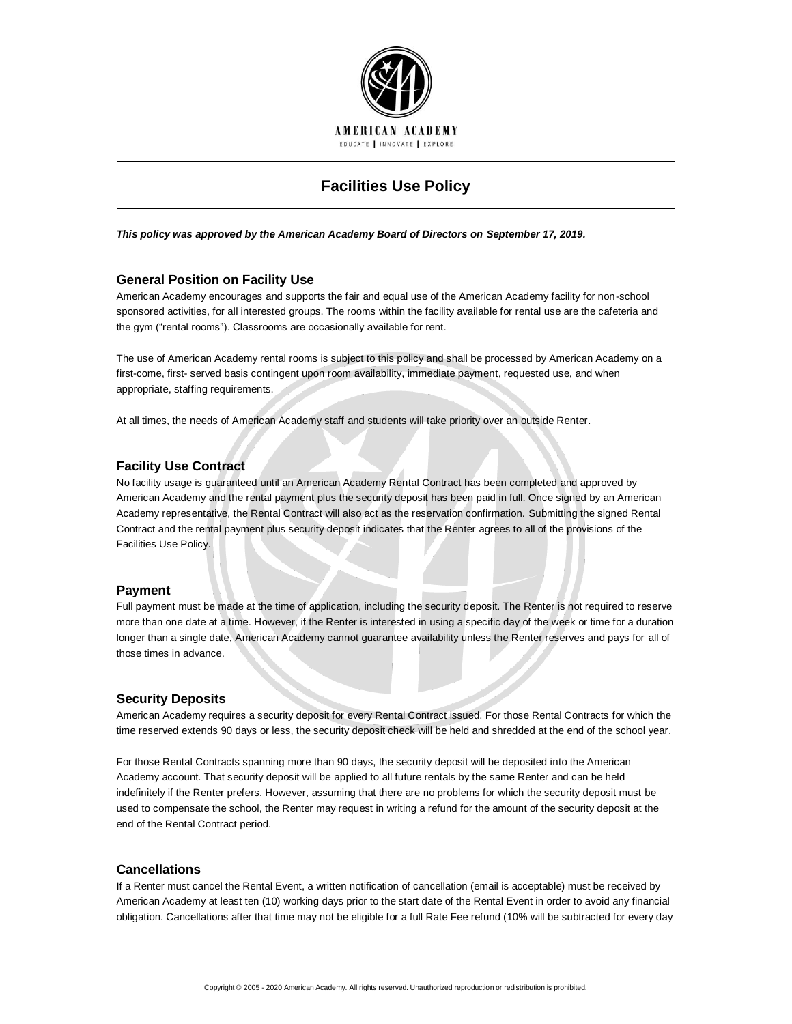

# **Facilities Use Policy**

*This policy was approved by the American Academy Board of Directors on September 17, 2019.*

# **General Position on Facility Use**

American Academy encourages and supports the fair and equal use of the American Academy facility for non-school sponsored activities, for all interested groups. The rooms within the facility available for rental use are the cafeteria and the gym ("rental rooms"). Classrooms are occasionally available for rent.

The use of American Academy rental rooms is subject to this policy and shall be processed by American Academy on a first-come, first- served basis contingent upon room availability, immediate payment, requested use, and when appropriate, staffing requirements.

At all times, the needs of American Academy staff and students will take priority over an outside Renter.

# **Facility Use Contract**

No facility usage is guaranteed until an American Academy Rental Contract has been completed and approved by American Academy and the rental payment plus the security deposit has been paid in full. Once signed by an American Academy representative, the Rental Contract will also act as the reservation confirmation. Submitting the signed Rental Contract and the rental payment plus security deposit indicates that the Renter agrees to all of the provisions of the Facilities Use Policy.

# **Payment**

Full payment must be made at the time of application, including the security deposit. The Renter is not required to reserve more than one date at a time. However, if the Renter is interested in using a specific day of the week or time for a duration longer than a single date, American Academy cannot guarantee availability unless the Renter reserves and pays for all of those times in advance.

# **Security Deposits**

American Academy requires a security deposit for every Rental Contract issued. For those Rental Contracts for which the time reserved extends 90 days or less, the security deposit check will be held and shredded at the end of the school year.

For those Rental Contracts spanning more than 90 days, the security deposit will be deposited into the American Academy account. That security deposit will be applied to all future rentals by the same Renter and can be held indefinitely if the Renter prefers. However, assuming that there are no problems for which the security deposit must be used to compensate the school, the Renter may request in writing a refund for the amount of the security deposit at the end of the Rental Contract period.

# **Cancellations**

If a Renter must cancel the Rental Event, a written notification of cancellation (email is acceptable) must be received by American Academy at least ten (10) working days prior to the start date of the Rental Event in order to avoid any financial obligation. Cancellations after that time may not be eligible for a full Rate Fee refund (10% will be subtracted for every day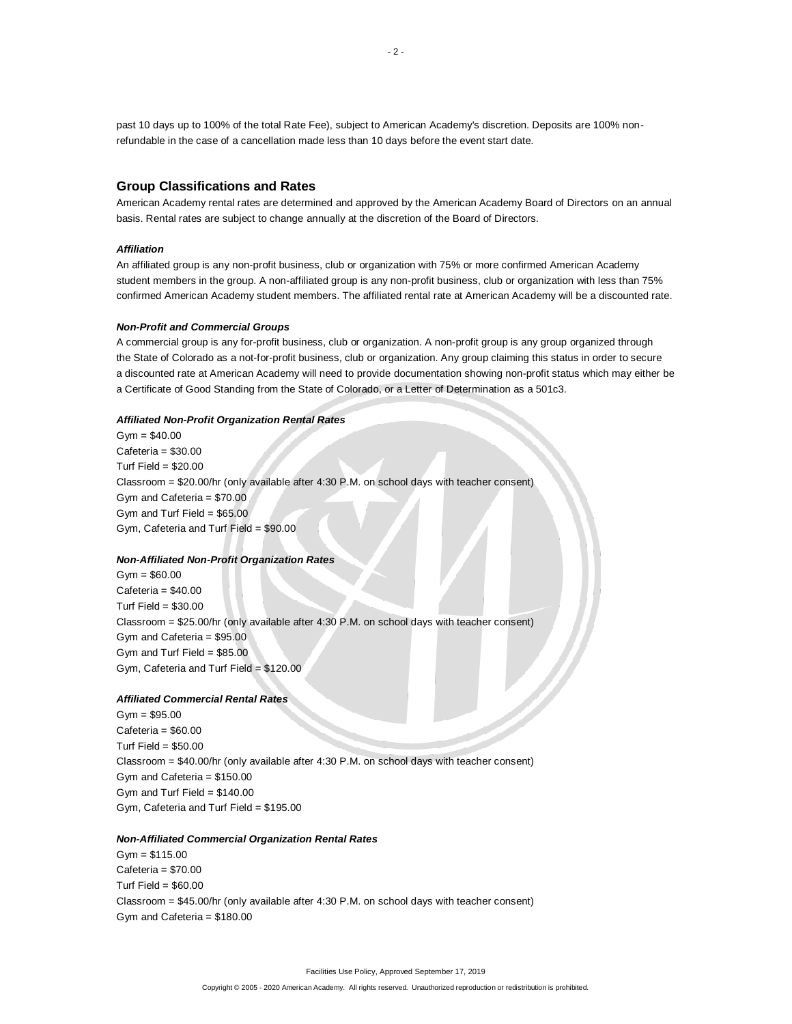past 10 days up to 100% of the total Rate Fee), subject to American Academy's discretion. Deposits are 100% nonrefundable in the case of a cancellation made less than 10 days before the event start date.

# **Group Classifications and Rates**

American Academy rental rates are determined and approved by the American Academy Board of Directors on an annual basis. Rental rates are subject to change annually at the discretion of the Board of Directors.

### *Affiliation*

An affiliated group is any non-profit business, club or organization with 75% or more confirmed American Academy student members in the group. A non-affiliated group is any non-profit business, club or organization with less than 75% confirmed American Academy student members. The affiliated rental rate at American Academy will be a discounted rate.

#### *Non-Profit and Commercial Groups*

A commercial group is any for-profit business, club or organization. A non-profit group is any group organized through the State of Colorado as a not-for-profit business, club or organization. Any group claiming this status in order to secure a discounted rate at American Academy will need to provide documentation showing non-profit status which may either be a Certificate of Good Standing from the State of Colorado, or a Letter of Determination as a 501c3.

#### *Affiliated Non-Profit Organization Rental Rates*

 $Gym = $40.00$ Cafeteria = \$30.00 Turf Field =  $$20.00$ Classroom = \$20.00/hr (only available after 4:30 P.M. on school days with teacher consent) Gym and Cafeteria = \$70.00 Gym and Turf Field = \$65.00 Gym, Cafeteria and Turf Field = \$90.00

# *Non-Affiliated Non-Profit Organization Rates*

 $Gym = $60.00$ Cafeteria = \$40.00 Turf Field =  $$30.00$ Classroom = \$25.00/hr (only available after 4:30 P.M. on school days with teacher consent) Gym and Cafeteria = \$95.00 Gym and Turf Field =  $$85.00$ Gym, Cafeteria and Turf Field = \$120.00

#### *Affiliated Commercial Rental Rates*

 $Gym = $95.00$  $C$ afeteria =  $$60.00$ Turf Field =  $$50.00$ Classroom = \$40.00/hr (only available after 4:30 P.M. on school days with teacher consent) Gym and Cafeteria = \$150.00 Gym and Turf Field = \$140.00 Gym, Cafeteria and Turf Field = \$195.00

#### *Non-Affiliated Commercial Organization Rental Rates*

Gym = \$115.00 Cafeteria = \$70.00 Turf Field =  $$60.00$ Classroom = \$45.00/hr (only available after 4:30 P.M. on school days with teacher consent) Gym and Cafeteria = \$180.00

#### Copyright © 2005 - 2020 American Academy. All rights reserved. Unauthorized reproduction or redistribution is prohibited.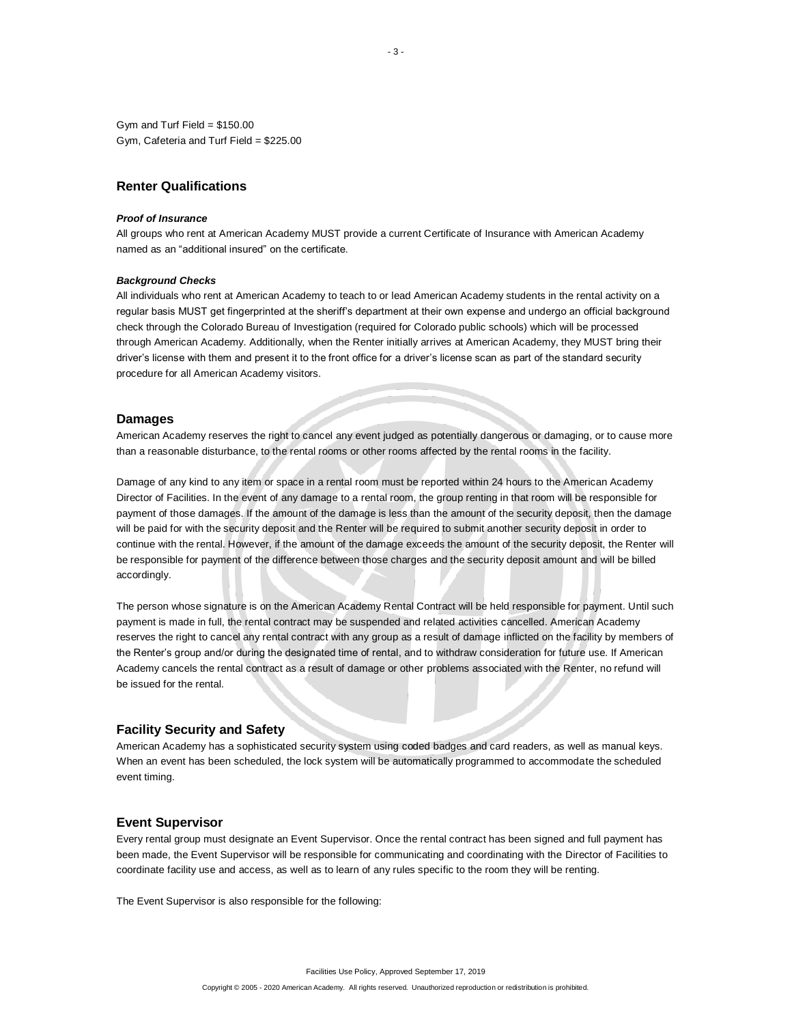Gym and Turf Field =  $$150.00$ Gym, Cafeteria and Turf Field = \$225.00

# **Renter Qualifications**

#### *Proof of Insurance*

All groups who rent at American Academy MUST provide a current Certificate of Insurance with American Academy named as an "additional insured" on the certificate.

#### *Background Checks*

All individuals who rent at American Academy to teach to or lead American Academy students in the rental activity on a regular basis MUST get fingerprinted at the sheriff's department at their own expense and undergo an official background check through the Colorado Bureau of Investigation (required for Colorado public schools) which will be processed through American Academy. Additionally, when the Renter initially arrives at American Academy, they MUST bring their driver's license with them and present it to the front office for a driver's license scan as part of the standard security procedure for all American Academy visitors.

### **Damages**

American Academy reserves the right to cancel any event judged as potentially dangerous or damaging, or to cause more than a reasonable disturbance, to the rental rooms or other rooms affected by the rental rooms in the facility.

Damage of any kind to any item or space in a rental room must be reported within 24 hours to the American Academy Director of Facilities. In the event of any damage to a rental room, the group renting in that room will be responsible for payment of those damages. If the amount of the damage is less than the amount of the security deposit, then the damage will be paid for with the security deposit and the Renter will be required to submit another security deposit in order to continue with the rental. However, if the amount of the damage exceeds the amount of the security deposit, the Renter will be responsible for payment of the difference between those charges and the security deposit amount and will be billed accordingly.

The person whose signature is on the American Academy Rental Contract will be held responsible for payment. Until such payment is made in full, the rental contract may be suspended and related activities cancelled. American Academy reserves the right to cancel any rental contract with any group as a result of damage inflicted on the facility by members of the Renter's group and/or during the designated time of rental, and to withdraw consideration for future use. If American Academy cancels the rental contract as a result of damage or other problems associated with the Renter, no refund will be issued for the rental.

#### **Facility Security and Safety**

American Academy has a sophisticated security system using coded badges and card readers, as well as manual keys. When an event has been scheduled, the lock system will be automatically programmed to accommodate the scheduled event timing.

### **Event Supervisor**

Every rental group must designate an Event Supervisor. Once the rental contract has been signed and full payment has been made, the Event Supervisor will be responsible for communicating and coordinating with the Director of Facilities to coordinate facility use and access, as well as to learn of any rules specific to the room they will be renting.

The Event Supervisor is also responsible for the following: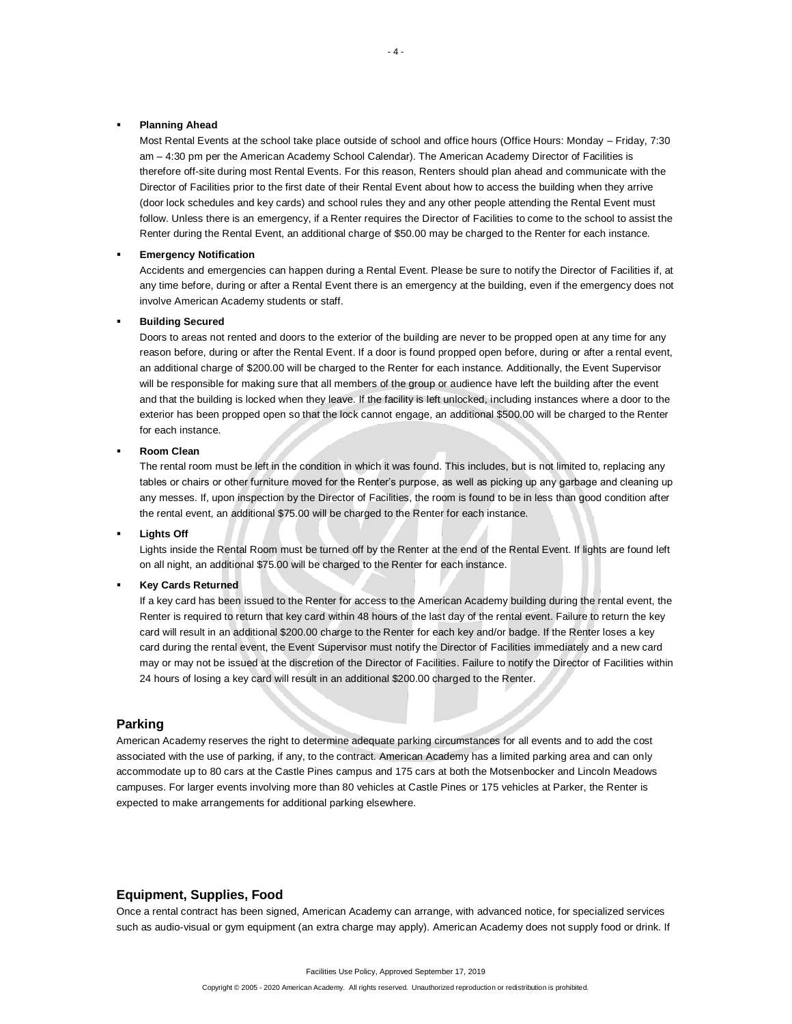### **Planning Ahead**

Most Rental Events at the school take place outside of school and office hours (Office Hours: Monday – Friday, 7:30 am – 4:30 pm per the American Academy School Calendar). The American Academy Director of Facilities is therefore off-site during most Rental Events. For this reason, Renters should plan ahead and communicate with the Director of Facilities prior to the first date of their Rental Event about how to access the building when they arrive (door lock schedules and key cards) and school rules they and any other people attending the Rental Event must follow. Unless there is an emergency, if a Renter requires the Director of Facilities to come to the school to assist the Renter during the Rental Event, an additional charge of \$50.00 may be charged to the Renter for each instance.

### **Emergency Notification**

Accidents and emergencies can happen during a Rental Event. Please be sure to notify the Director of Facilities if, at any time before, during or after a Rental Event there is an emergency at the building, even if the emergency does not involve American Academy students or staff.

#### **Building Secured**

Doors to areas not rented and doors to the exterior of the building are never to be propped open at any time for any reason before, during or after the Rental Event. If a door is found propped open before, during or after a rental event, an additional charge of \$200.00 will be charged to the Renter for each instance. Additionally, the Event Supervisor will be responsible for making sure that all members of the group or audience have left the building after the event and that the building is locked when they leave. If the facility is left unlocked, including instances where a door to the exterior has been propped open so that the lock cannot engage, an additional \$500.00 will be charged to the Renter for each instance.

**Room Clean** 

The rental room must be left in the condition in which it was found. This includes, but is not limited to, replacing any tables or chairs or other furniture moved for the Renter's purpose, as well as picking up any garbage and cleaning up any messes. If, upon inspection by the Director of Facilities, the room is found to be in less than good condition after the rental event, an additional \$75.00 will be charged to the Renter for each instance.

**Lights Off** 

Lights inside the Rental Room must be turned off by the Renter at the end of the Rental Event. If lights are found left on all night, an additional \$75.00 will be charged to the Renter for each instance.

#### **Key Cards Returned**

If a key card has been issued to the Renter for access to the American Academy building during the rental event, the Renter is required to return that key card within 48 hours of the last day of the rental event. Failure to return the key card will result in an additional \$200.00 charge to the Renter for each key and/or badge. If the Renter loses a key card during the rental event, the Event Supervisor must notify the Director of Facilities immediately and a new card may or may not be issued at the discretion of the Director of Facilities. Failure to notify the Director of Facilities within 24 hours of losing a key card will result in an additional \$200.00 charged to the Renter.

# **Parking**

American Academy reserves the right to determine adequate parking circumstances for all events and to add the cost associated with the use of parking, if any, to the contract. American Academy has a limited parking area and can only accommodate up to 80 cars at the Castle Pines campus and 175 cars at both the Motsenbocker and Lincoln Meadows campuses. For larger events involving more than 80 vehicles at Castle Pines or 175 vehicles at Parker, the Renter is expected to make arrangements for additional parking elsewhere.

# **Equipment, Supplies, Food**

Once a rental contract has been signed, American Academy can arrange, with advanced notice, for specialized services such as audio-visual or gym equipment (an extra charge may apply). American Academy does not supply food or drink. If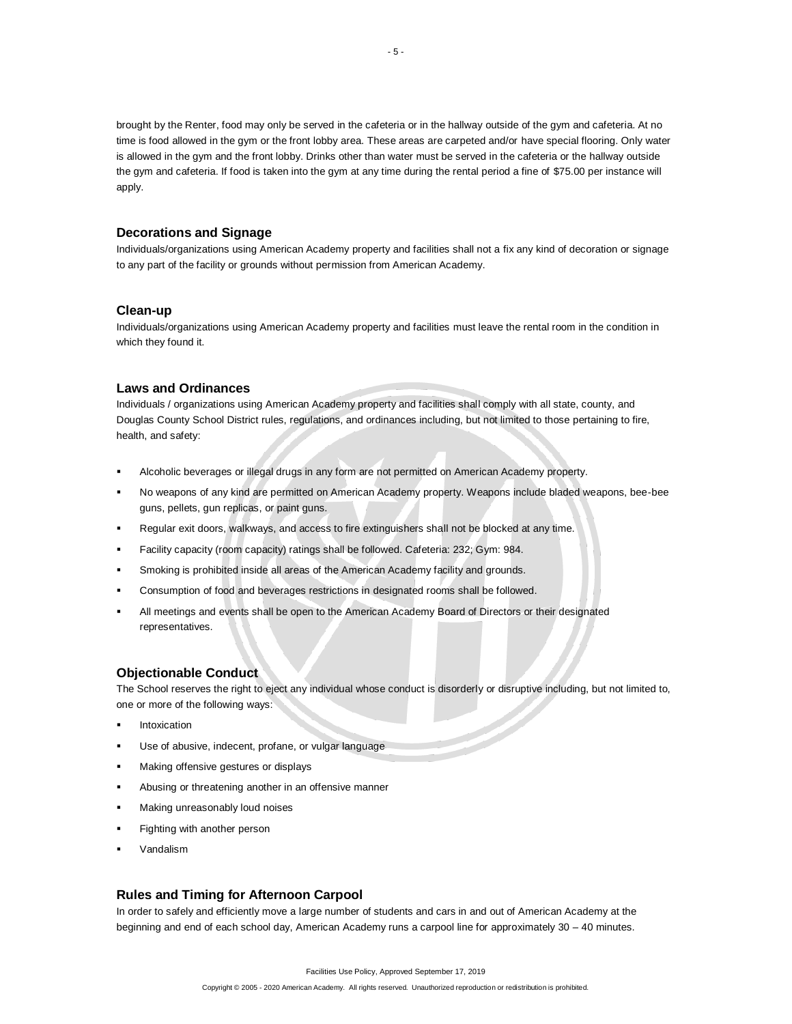brought by the Renter, food may only be served in the cafeteria or in the hallway outside of the gym and cafeteria. At no time is food allowed in the gym or the front lobby area. These areas are carpeted and/or have special flooring. Only water is allowed in the gym and the front lobby. Drinks other than water must be served in the cafeteria or the hallway outside the gym and cafeteria. If food is taken into the gym at any time during the rental period a fine of \$75.00 per instance will apply.

# **Decorations and Signage**

Individuals/organizations using American Academy property and facilities shall not a fix any kind of decoration or signage to any part of the facility or grounds without permission from American Academy.

# **Clean-up**

Individuals/organizations using American Academy property and facilities must leave the rental room in the condition in which they found it.

# **Laws and Ordinances**

Individuals / organizations using American Academy property and facilities shall comply with all state, county, and Douglas County School District rules, regulations, and ordinances including, but not limited to those pertaining to fire, health, and safety:

- Alcoholic beverages or illegal drugs in any form are not permitted on American Academy property.
- No weapons of any kind are permitted on American Academy property. Weapons include bladed weapons, bee-bee guns, pellets, gun replicas, or paint guns.
- Regular exit doors, walkways, and access to fire extinguishers shall not be blocked at any time.
- Facility capacity (room capacity) ratings shall be followed. Cafeteria: 232; Gym: 984.
- Smoking is prohibited inside all areas of the American Academy facility and grounds.
- Consumption of food and beverages restrictions in designated rooms shall be followed.
- All meetings and events shall be open to the American Academy Board of Directors or their designated representatives.

# **Objectionable Conduct**

The School reserves the right to eject any individual whose conduct is disorderly or disruptive including, but not limited to, one or more of the following ways:

- Intoxication
- Use of abusive, indecent, profane, or vulgar language
- Making offensive gestures or displays
- **EXEDENT Abusing or threatening another in an offensive manner**
- Making unreasonably loud noises
- Fighting with another person
- Vandalism

# **Rules and Timing for Afternoon Carpool**

In order to safely and efficiently move a large number of students and cars in and out of American Academy at the beginning and end of each school day, American Academy runs a carpool line for approximately 30 – 40 minutes.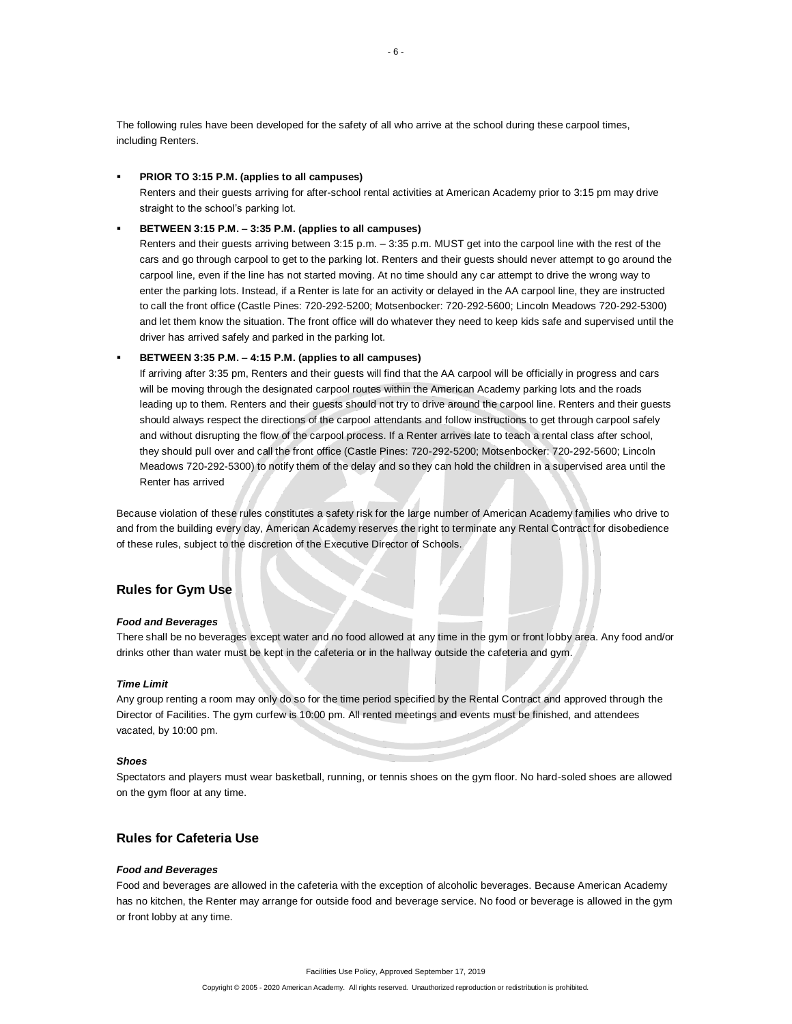The following rules have been developed for the safety of all who arrive at the school during these carpool times, including Renters.

### ▪ **PRIOR TO 3:15 P.M. (applies to all campuses)**

Renters and their guests arriving for after-school rental activities at American Academy prior to 3:15 pm may drive straight to the school's parking lot.

### ▪ **BETWEEN 3:15 P.M. – 3:35 P.M. (applies to all campuses)**

Renters and their guests arriving between 3:15 p.m. – 3:35 p.m. MUST get into the carpool line with the rest of the cars and go through carpool to get to the parking lot. Renters and their guests should never attempt to go around the carpool line, even if the line has not started moving. At no time should any car attempt to drive the wrong way to enter the parking lots. Instead, if a Renter is late for an activity or delayed in the AA carpool line, they are instructed to call the front office (Castle Pines: 720-292-5200; Motsenbocker: 720-292-5600; Lincoln Meadows 720-292-5300) and let them know the situation. The front office will do whatever they need to keep kids safe and supervised until the driver has arrived safely and parked in the parking lot.

### ▪ **BETWEEN 3:35 P.M. – 4:15 P.M. (applies to all campuses)**

If arriving after 3:35 pm, Renters and their guests will find that the AA carpool will be officially in progress and cars will be moving through the designated carpool routes within the American Academy parking lots and the roads leading up to them. Renters and their guests should not try to drive around the carpool line. Renters and their guests should always respect the directions of the carpool attendants and follow instructions to get through carpool safely and without disrupting the flow of the carpool process. If a Renter arrives late to teach a rental class after school, they should pull over and call the front office (Castle Pines: 720-292-5200; Motsenbocker: 720-292-5600; Lincoln Meadows 720-292-5300) to notify them of the delay and so they can hold the children in a supervised area until the Renter has arrived

Because violation of these rules constitutes a safety risk for the large number of American Academy families who drive to and from the building every day, American Academy reserves the right to terminate any Rental Contract for disobedience of these rules, subject to the discretion of the Executive Director of Schools.

# **Rules for Gym Use**

#### *Food and Beverages*

There shall be no beverages except water and no food allowed at any time in the gym or front lobby area. Any food and/or drinks other than water must be kept in the cafeteria or in the hallway outside the cafeteria and gym.

#### *Time Limit*

Any group renting a room may only do so for the time period specified by the Rental Contract and approved through the Director of Facilities. The gym curfew is 10:00 pm. All rented meetings and events must be finished, and attendees vacated, by 10:00 pm.

#### *Shoes*

Spectators and players must wear basketball, running, or tennis shoes on the gym floor. No hard-soled shoes are allowed on the gym floor at any time.

# **Rules for Cafeteria Use**

#### *Food and Beverages*

Food and beverages are allowed in the cafeteria with the exception of alcoholic beverages. Because American Academy has no kitchen, the Renter may arrange for outside food and beverage service. No food or beverage is allowed in the gym or front lobby at any time.